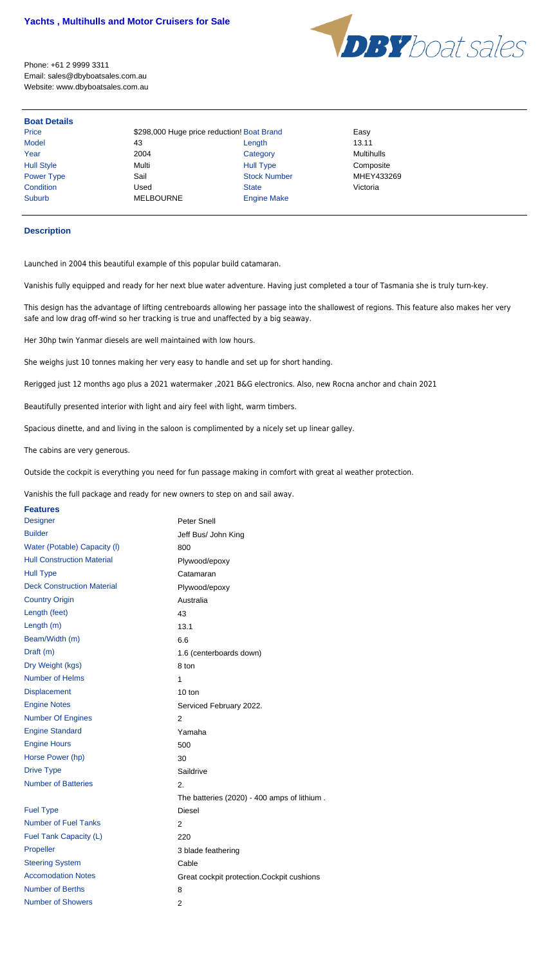

Phone: +61 2 9999 3311 Email: sales@dbyboatsales.com.au Website: www.dbyboatsales.com.au

## **Boat Details**

Price **\$298,000 Huge price reduction! Boat Brand** Easy Model 43 Length 13.11 Year 2004 Category Multihulls Hull Style Multi Hull Type Composite Power Type **Sail Sail Stock Number** MHEY433269 Condition Used State Victoria Suburb MELBOURNE Engine Make

## **Description**

Launched in 2004 this beautiful example of this popular build catamaran.

Vanishis fully equipped and ready for her next blue water adventure. Having just completed a tour of Tasmania she is truly turn-key.

This design has the advantage of lifting centreboards allowing her passage into the shallowest of regions. This feature also makes her very safe and low drag off-wind so her tracking is true and unaffected by a big seaway.

Her 30hp twin Yanmar diesels are well maintained with low hours.

She weighs just 10 tonnes making her very easy to handle and set up for short handing.

Rerigged just 12 months ago plus a 2021 watermaker ,2021 B&G electronics. Also, new Rocna anchor and chain 2021

Beautifully presented interior with light and airy feel with light, warm timbers.

Spacious dinette, and and living in the saloon is complimented by a nicely set up linear galley.

The cabins are very generous.

Outside the cockpit is everything you need for fun passage making in comfort with great al weather protection.

Vanishis the full package and ready for new owners to step on and sail away.

## **Features**

| <b>Designer</b>                   | <b>Peter Snell</b>                          |
|-----------------------------------|---------------------------------------------|
| <b>Builder</b>                    | Jeff Bus/ John King                         |
| Water (Potable) Capacity (I)      | 800                                         |
| <b>Hull Construction Material</b> | Plywood/epoxy                               |
| <b>Hull Type</b>                  | Catamaran                                   |
| <b>Deck Construction Material</b> | Plywood/epoxy                               |
| <b>Country Origin</b>             | Australia                                   |
| Length (feet)                     | 43                                          |
| Length (m)                        | 13.1                                        |
| Beam/Width (m)                    | 6.6                                         |
| Draft (m)                         | 1.6 (centerboards down)                     |
| Dry Weight (kgs)                  | 8 ton                                       |
| <b>Number of Helms</b>            | 1                                           |
| <b>Displacement</b>               | 10 ton                                      |
| <b>Engine Notes</b>               | Serviced February 2022.                     |
| <b>Number Of Engines</b>          | $\overline{2}$                              |
| <b>Engine Standard</b>            | Yamaha                                      |
| <b>Engine Hours</b>               | 500                                         |
| Horse Power (hp)                  | 30                                          |
| <b>Drive Type</b>                 | Saildrive                                   |
| <b>Number of Batteries</b>        | 2.                                          |
|                                   | The batteries (2020) - 400 amps of lithium. |
| <b>Fuel Type</b>                  | <b>Diesel</b>                               |
| <b>Number of Fuel Tanks</b>       | $\overline{2}$                              |
| Fuel Tank Capacity (L)            | 220                                         |
| Propeller                         | 3 blade feathering                          |
| <b>Steering System</b>            | Cable                                       |
| <b>Accomodation Notes</b>         | Great cockpit protection. Cockpit cushions  |
| <b>Number of Berths</b>           | 8                                           |
| <b>Number of Showers</b>          | $\overline{2}$                              |